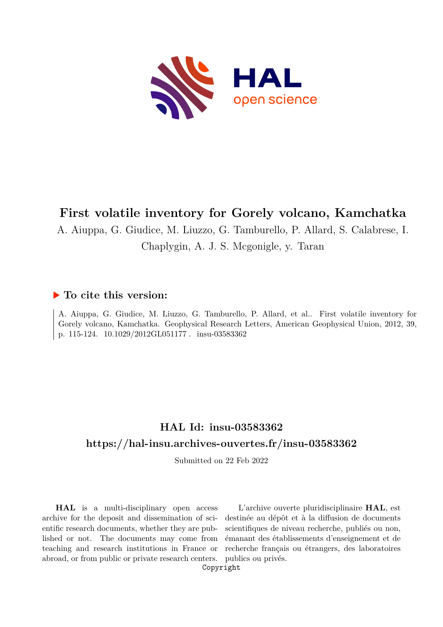

# **First volatile inventory for Gorely volcano, Kamchatka**

A. Aiuppa, G. Giudice, M. Liuzzo, G. Tamburello, P. Allard, S. Calabrese, I.

## Chaplygin, A. J. S. Mcgonigle, y. Taran

## **To cite this version:**

A. Aiuppa, G. Giudice, M. Liuzzo, G. Tamburello, P. Allard, et al.. First volatile inventory for Gorely volcano, Kamchatka. Geophysical Research Letters, American Geophysical Union, 2012, 39, p. 115-124. 10.1029/2012GL051177. insu-03583362

# **HAL Id: insu-03583362 <https://hal-insu.archives-ouvertes.fr/insu-03583362>**

Submitted on 22 Feb 2022

**HAL** is a multi-disciplinary open access archive for the deposit and dissemination of scientific research documents, whether they are published or not. The documents may come from teaching and research institutions in France or abroad, or from public or private research centers.

L'archive ouverte pluridisciplinaire **HAL**, est destinée au dépôt et à la diffusion de documents scientifiques de niveau recherche, publiés ou non, émanant des établissements d'enseignement et de recherche français ou étrangers, des laboratoires publics ou privés.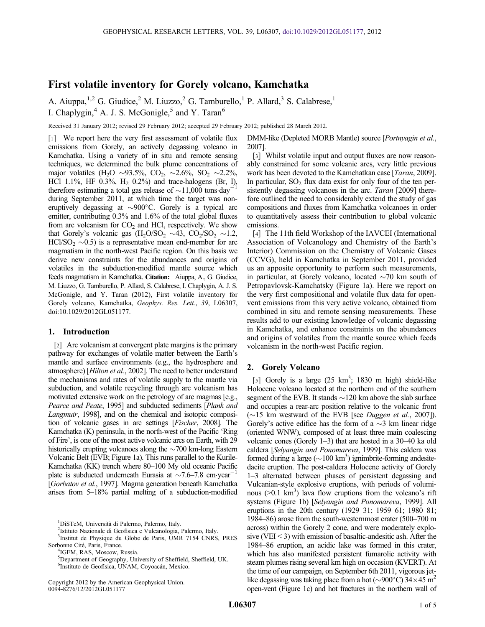### First volatile inventory for Gorely volcano, Kamchatka

A. Aiuppa,<sup>1,2</sup> G. Giudice,<sup>2</sup> M. Liuzzo,<sup>2</sup> G. Tamburello,<sup>1</sup> P. Allard,<sup>3</sup> S. Calabrese,<sup>1</sup> I. Chaplygin,  $4$  A. J. S. McGonigle,  $5$  and Y. Taran<sup>6</sup>

Received 31 January 2012; revised 29 February 2012; accepted 29 February 2012; published 28 March 2012.

[1] We report here the very first assessment of volatile flux emissions from Gorely, an actively degassing volcano in Kamchatka. Using a variety of in situ and remote sensing techniques, we determined the bulk plume concentrations of major volatiles (H<sub>2</sub>O ~93.5%, CO<sub>2</sub>, ~2.6%, SO<sub>2</sub> ~2.2%, HCl 1.1%, HF 0.3%,  $H_2$  0.2%) and trace-halogens (Br, I), therefore estimating a total gas release of  $\sim$ 11,000 tons day<sup>-</sup> during September 2011, at which time the target was noneruptively degassing at  $\sim 900^{\circ}$ C. Gorely is a typical arc emitter, contributing 0.3% and 1.6% of the total global fluxes from arc volcanism for  $CO<sub>2</sub>$  and HCl, respectively. We show that Gorely's volcanic gas  $(H_2O/SO_2 \sim 43, CO_2/SO_2 \sim 1.2,$  $HCVSO<sub>2</sub> \sim 0.5$ ) is a representative mean end-member for arc magmatism in the north-west Pacific region. On this basis we derive new constraints for the abundances and origins of volatiles in the subduction-modified mantle source which feeds magmatism in Kamchatka. Citation: Aiuppa, A., G. Giudice, M. Liuzzo, G. Tamburello, P. Allard, S. Calabrese, I. Chaplygin, A. J. S. McGonigle, and Y. Taran (2012), First volatile inventory for Gorely volcano, Kamchatka, Geophys. Res. Lett., 39, L06307, doi:10.1029/2012GL051177.

### 1. Introduction

[2] Arc volcanism at convergent plate margins is the primary pathway for exchanges of volatile matter between the Earth's mantle and surface environments (e.g., the hydrosphere and atmosphere) [Hilton et al., 2002]. The need to better understand the mechanisms and rates of volatile supply to the mantle via subduction, and volatile recycling through arc volcanism has motivated extensive work on the petrology of arc magmas [e.g., Pearce and Peate, 1995] and subducted sediments [Plank and Langmuir, 1998], and on the chemical and isotopic composition of volcanic gases in arc settings [Fischer, 2008]. The Kamchatka (K) peninsula, in the north-west of the Pacific 'Ring of Fire', is one of the most active volcanic arcs on Earth, with 29 historically erupting volcanoes along the  $\sim$ 700 km-long Eastern Volcanic Belt (EVB; Figure 1a). This runs parallel to the Kurile-Kamchatka (KK) trench where 80–100 My old oceanic Pacific plate is subducted underneath Eurasia at  $\sim$ 7.6–7.8 cm·year<sup>-1</sup> [Gorbatov et al., 1997]. Magma generation beneath Kamchatka arises from 5–18% partial melting of a subduction-modified

6 Instituto de Geofísica, UNAM, Coyoacán, Mexico.

DMM-like (Depleted MORB Mantle) source [Portnyagin et al., 2007].

[3] Whilst volatile input and output fluxes are now reasonably constrained for some volcanic arcs, very little previous work has been devoted to the Kamchatkan case [Taran, 2009]. In particular,  $SO<sub>2</sub>$  flux data exist for only four of the ten persistently degassing volcanoes in the arc. Taran [2009] therefore outlined the need to considerably extend the study of gas compositions and fluxes from Kamchatka volcanoes in order to quantitatively assess their contribution to global volcanic emissions.

[4] The 11th field Workshop of the IAVCEI (International Association of Volcanology and Chemistry of the Earth's Interior) Commission on the Chemistry of Volcanic Gases (CCVG), held in Kamchatka in September 2011, provided us an apposite opportunity to perform such measurements, in particular, at Gorely volcano, located  $\sim$ 70 km south of Petropavlovsk-Kamchatsky (Figure 1a). Here we report on the very first compositional and volatile flux data for openvent emissions from this very active volcano, obtained from combined in situ and remote sensing measurements. These results add to our existing knowledge of volcanic degassing in Kamchatka, and enhance constraints on the abundances and origins of volatiles from the mantle source which feeds volcanism in the north-west Pacific region.

### 2. Gorely Volcano

[5] Gorely is a large  $(25 \text{ km}^3; 1830 \text{ m high})$  shield-like Holocene volcano located at the northern end of the southern segment of the EVB. It stands  $\sim$  120 km above the slab surface and occupies a rear-arc position relative to the volcanic front  $(\sim 15$  km westward of the EVB [see *Duggen et al.*, 2007]). Gorely's active edifice has the form of a  $\sim$ 3 km linear ridge (oriented WNW), composed of at least three main coalescing volcanic cones (Gorely 1–3) that are hosted in a 30–40 ka old caldera [Selyangin and Ponomareva, 1999]. This caldera was formed during a large  $(\sim 100 \text{ km}^3)$  ignimbrite-forming andesitedacite eruption. The post-caldera Holocene activity of Gorely 1–3 alternated between phases of persistent degassing and Vulcanian-style explosive eruptions, with periods of voluminous  $(>0.1 \text{ km}^3)$  lava flow eruptions from the volcano's rift systems (Figure 1b) [Selyangin and Ponomareva, 1999]. All eruptions in the 20th century (1929–31; 1959–61; 1980–81; 1984–86) arose from the south-westernmost crater (500–700 m across) within the Gorely 2 cone, and were moderately explosive (VEI  $\leq$  3) with emission of basaltic-andesitic ash. After the 1984–86 eruption, an acidic lake was formed in this crater, which has also manifested persistent fumarolic activity with steam plumes rising several km high on occasion (KVERT). At the time of our campaign, on September 6th 2011, vigorous jetlike degassing was taking place from a hot ( $\sim$ 900°C)  $34\times 45$  m<sup>2</sup> open-vent (Figure 1c) and hot fractures in the northern wall of

<sup>1</sup> DiSTeM, Università di Palermo, Palermo, Italy.

<sup>2</sup> Istituto Nazionale di Geofisica e Vulcanologia, Palermo, Italy.

<sup>3</sup> Institut de Physique du Globe de Paris, UMR 7154 CNRS, PRES Sorbonne Cité, Paris, France. <sup>4</sup>

<sup>&</sup>lt;sup>4</sup>IGEM, RAS, Moscow, Russia.

<sup>5</sup> Department of Geography, University of Sheffield, Sheffield, UK.

Copyright 2012 by the American Geophysical Union. 0094-8276/12/2012GL051177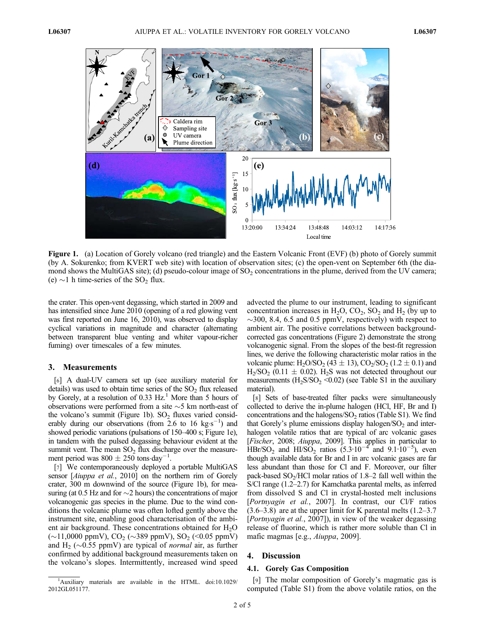

Figure 1. (a) Location of Gorely volcano (red triangle) and the Eastern Volcanic Front (EVF) (b) photo of Gorely summit (by A. Sokurenko; from KVERT web site) with location of observation sites; (c) the open-vent on September 6th (the diamond shows the MultiGAS site); (d) pseudo-colour image of  $SO<sub>2</sub>$  concentrations in the plume, derived from the UV camera; (e)  $\sim$ 1 h time-series of the SO<sub>2</sub> flux.

the crater. This open-vent degassing, which started in 2009 and has intensified since June 2010 (opening of a red glowing vent was first reported on June 16, 2010), was observed to display cyclical variations in magnitude and character (alternating between transparent blue venting and whiter vapour-richer fuming) over timescales of a few minutes.

#### 3. Measurements

[6] A dual-UV camera set up (see auxiliary material for details) was used to obtain time series of the  $SO<sub>2</sub>$  flux released by Gorely, at a resolution of 0.33 Hz.<sup>1</sup> More than 5 hours of observations were performed from a site  $\sim$  5 km north-east of the volcano's summit (Figure 1b).  $SO_2$  fluxes varied considerably during our observations (from  $2.6$  to  $16 \text{ kg s}^{-1}$ ) and showed periodic variations (pulsations of 150–400 s; Figure 1e), in tandem with the pulsed degassing behaviour evident at the summit vent. The mean  $SO_2$  flux discharge over the measurement period was  $800 \pm 250$  tons day<sup>-1</sup>.

[7] We contemporaneously deployed a portable MultiGAS sensor [Aiuppa et al., 2010] on the northern rim of Gorely crater, 300 m downwind of the source (Figure 1b), for measuring (at 0.5 Hz and for  $\sim$ 2 hours) the concentrations of major volcanogenic gas species in the plume. Due to the wind conditions the volcanic plume was often lofted gently above the instrument site, enabling good characterisation of the ambient air background. These concentrations obtained for  $H_2O$  $(\sim 11,0000 \text{ ppmV})$ , CO<sub>2</sub> ( $\sim 389 \text{ ppmV}$ ), SO<sub>2</sub> (<0.05 ppmV) and H<sub>2</sub> ( $\sim$ 0.55 ppmV) are typical of *normal* air, as further confirmed by additional background measurements taken on the volcano's slopes. Intermittently, increased wind speed

<sup>1</sup>Auxiliary materials are available in the HTML. doi:10.1029/ 2012GL051177.

advected the plume to our instrument, leading to significant concentration increases in  $H_2O$ ,  $CO_2$ ,  $SO_2$  and  $H_2$  (by up to  $\sim$ 300, 8.4, 6.5 and 0.5 ppmV, respectively) with respect to ambient air. The positive correlations between backgroundcorrected gas concentrations (Figure 2) demonstrate the strong volcanogenic signal. From the slopes of the best-fit regression lines, we derive the following characteristic molar ratios in the volcanic plume:  $H_2O/SO_2$  (43  $\pm$  13),  $CO_2/SO_2$  (1.2  $\pm$  0.1) and  $H_2/SO_2$  (0.11  $\pm$  0.02). H<sub>2</sub>S was not detected throughout our measurements  $(H_2S/SO_2 \le 0.02)$  (see Table S1 in the auxiliary material).

[8] Sets of base-treated filter packs were simultaneously collected to derive the in-plume halogen (HCl, HF, Br and I) concentrations and the halogens/ $SO_2$  ratios (Table S1). We find that Gorely's plume emissions display halogen/ $SO<sub>2</sub>$  and interhalogen volatile ratios that are typical of arc volcanic gases [Fischer, 2008; Aiuppa, 2009]. This applies in particular to  $\text{HBr/SO}_2$  and  $\text{HI/SO}_2$  ratios (5.3⋅10<sup>-4</sup> and 9.1⋅10<sup>-5</sup>), even though available data for Br and I in arc volcanic gases are far less abundant than those for Cl and F. Moreover, our filter pack-based  $SO<sub>2</sub>/HCl$  molar ratios of 1.8–2 fall well within the S/Cl range (1.2–2.7) for Kamchatka parental melts, as inferred from dissolved S and Cl in crystal-hosted melt inclusions [Portnyagin et al., 2007]. In contrast, our Cl/F ratios  $(3.6-3.8)$  are at the upper limit for K parental melts  $(1.2-3.7)$ [Portnyagin et al., 2007]), in view of the weaker degassing release of fluorine, which is rather more soluble than Cl in mafic magmas [e.g., Aiuppa, 2009].

#### 4. Discussion

#### 4.1. Gorely Gas Composition

[9] The molar composition of Gorely's magmatic gas is computed (Table S1) from the above volatile ratios, on the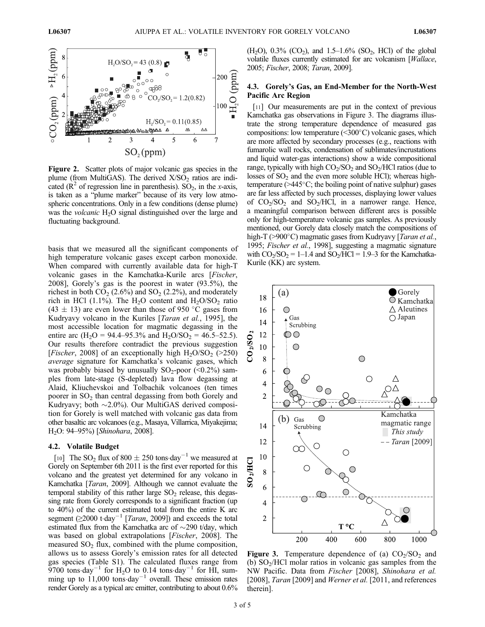

Figure 2. Scatter plots of major volcanic gas species in the plume (from MultiGAS). The derived  $X/SO<sub>2</sub>$  ratios are indicated ( $\mathbb{R}^2$  of regression line in parenthesis). SO<sub>2</sub>, in the x-axis, is taken as a "plume marker" because of its very low atmospheric concentrations. Only in a few conditions (dense plume) was the *volcanic* H<sub>2</sub>O signal distinguished over the large and fluctuating background.

basis that we measured all the significant components of high temperature volcanic gases except carbon monoxide. When compared with currently available data for high-T volcanic gases in the Kamchatka-Kurile arcs [Fischer, 2008], Gorely's gas is the poorest in water (93.5%), the richest in both  $CO<sub>2</sub>$  (2.6%) and SO<sub>2</sub> (2.2%), and moderately rich in HCl (1.1%). The  $H_2O$  content and  $H_2O/SO_2$  ratio  $(43 \pm 13)$  are even lower than those of 950 °C gases from Kudryavy volcano in the Kuriles [Taran et al., 1995], the most accessible location for magmatic degassing in the entire arc (H<sub>2</sub>O = 94.4–95.3% and H<sub>2</sub>O/SO<sub>2</sub> = 46.5–52.5). Our results therefore contradict the previous suggestion [Fischer, 2008] of an exceptionally high  $H_2O/SO_2$  (>250) average signature for Kamchatka's volcanic gases, which was probably biased by unusually  $SO_2$ -poor (<0.2%) samples from late-stage (S-depleted) lava flow degassing at Alaid, Kliuchevskoi and Tolbachik volcanoes (ten times poorer in  $SO<sub>2</sub>$  than central degassing from both Gorely and Kudryavy; both  $\sim$ 2.0%). Our MultiGAS derived composition for Gorely is well matched with volcanic gas data from other basaltic arc volcanoes (e.g., Masaya, Villarrica, Miyakejima; H2O: 94–95%) [Shinohara, 2008].

#### 4.2. Volatile Budget

[10] The SO<sub>2</sub> flux of 800  $\pm$  250 tons $\cdot$ day<sup>-1</sup> we measured at Gorely on September 6th 2011 is the first ever reported for this volcano and the greatest yet determined for any volcano in Kamchatka [Taran, 2009]. Although we cannot evaluate the temporal stability of this rather large  $SO<sub>2</sub>$  release, this degassing rate from Gorely corresponds to a significant fraction (up to 40%) of the current estimated total from the entire K arc segment  $(≥2000$  t·day<sup>-1</sup> [Taran, 2009]) and exceeds the total estimated flux from the Kamchatka arc of  $\sim$ 290 t/day, which was based on global extrapolations [Fischer, 2008]. The measured  $SO<sub>2</sub>$  flux, combined with the plume composition, allows us to assess Gorely's emission rates for all detected gas species (Table S1). The calculated fluxes range from 9700 tons day<sup>-1</sup> for H<sub>2</sub>O to 0.14 tons day<sup>-1</sup> for HI, summing up to  $11,000$  tons day<sup>-1</sup> overall. These emission rates render Gorely as a typical arc emitter, contributing to about 0.6%

 $(H_2O)$ , 0.3%  $(CO_2)$ , and 1.5–1.6%  $(SO_2, HCl)$  of the global volatile fluxes currently estimated for arc volcanism [Wallace, 2005; Fischer, 2008; Taran, 2009].

#### 4.3. Gorely's Gas, an End-Member for the North-West Pacific Arc Region

[11] Our measurements are put in the context of previous Kamchatka gas observations in Figure 3. The diagrams illustrate the strong temperature dependence of measured gas compositions: low temperature  $(\leq 300^{\circ} \text{C})$  volcanic gases, which are more affected by secondary processes (e.g., reactions with fumarolic wall rocks, condensation of sublimates/incrustations and liquid water-gas interactions) show a wide compositional range, typically with high  $CO_2/SO_2$  and  $SO_2/HC$  ratios (due to losses of  $SO<sub>2</sub>$  and the even more soluble HCl); whereas hightemperature ( $>445^{\circ}$ C; the boiling point of native sulphur) gases are far less affected by such processes, displaying lower values of  $CO<sub>2</sub>/SO<sub>2</sub>$  and  $SO<sub>2</sub>/HCl$ , in a narrower range. Hence, a meaningful comparison between different arcs is possible only for high-temperature volcanic gas samples. As previously mentioned, our Gorely data closely match the compositions of high-T (>900 $^{\circ}$ C) magmatic gases from Kudryavy [*Taran et al.*, 1995; Fischer et al., 1998], suggesting a magmatic signature with  $CO_2/SO_2 = 1-1.4$  and  $SO_2/HC = 1.9-3$  for the Kamchatka-Kurile (KK) arc system.



**Figure 3.** Temperature dependence of (a)  $CO<sub>2</sub>/SO<sub>2</sub>$  and (b)  $SO<sub>2</sub>/HCl$  molar ratios in volcanic gas samples from the NW Pacific. Data from Fischer [2008], Shinohara et al. [2008], Taran [2009] and Werner et al. [2011, and references therein].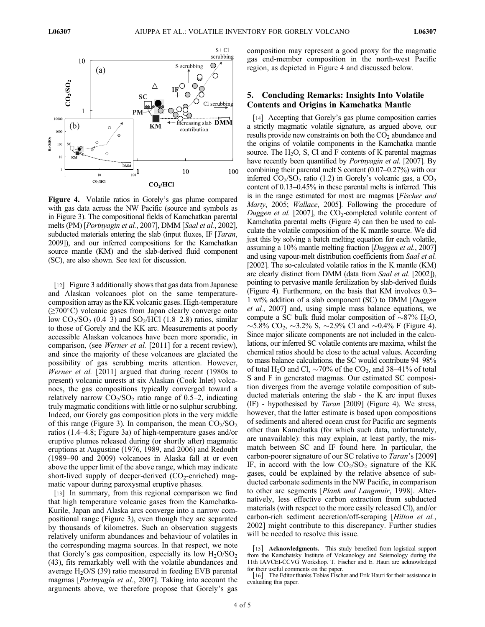

Figure 4. Volatile ratios in Gorely's gas plume compared with gas data across the NW Pacific (source and symbols as in Figure 3). The compositional fields of Kamchatkan parental melts (PM) [Portnyagin et al., 2007], DMM [Saal et al., 2002], subducted materials entering the slab (input fluxes, IF [*Taran*, 2009]), and our inferred compositions for the Kamchatkan source mantle (KM) and the slab-derived fluid component (SC), are also shown. See text for discussion.

[12] Figure 3 additionally shows that gas data from Japanese and Alaskan volcanoes plot on the same temperaturecomposition array as the KK volcanic gases. High-temperature  $(\geq 700^{\circ}$ C) volcanic gases from Japan clearly converge onto low  $CO<sub>2</sub>/SO<sub>2</sub>$  (0.4–3) and SO<sub>2</sub>/HCl (1.8–2.8) ratios, similar to those of Gorely and the KK arc. Measurements at poorly accessible Alaskan volcanoes have been more sporadic, in comparison, (see *Werner et al.* [2011] for a recent review), and since the majority of these volcanoes are glaciated the possibility of gas scrubbing merits attention. However, Werner et al. [2011] argued that during recent (1980s to present) volcanic unrests at six Alaskan (Cook Inlet) volcanoes, the gas compositions typically converged toward a relatively narrow  $CO<sub>2</sub>/SO<sub>2</sub>$  ratio range of 0.5–2, indicating truly magmatic conditions with little or no sulphur scrubbing. Indeed, our Gorely gas composition plots in the very middle of this range (Figure 3). In comparison, the mean  $CO<sub>2</sub>/SO<sub>2</sub>$ ratios (1.4–4.8; Figure 3a) of high-temperature gases and/or eruptive plumes released during (or shortly after) magmatic eruptions at Augustine (1976, 1989, and 2006) and Redoubt (1989–90 and 2009) volcanoes in Alaska fall at or even above the upper limit of the above range, which may indicate short-lived supply of deeper-derived  $(CO<sub>2</sub>-enriched)$  magmatic vapour during paroxysmal eruptive phases.

[13] In summary, from this regional comparison we find that high temperature volcanic gases from the Kamchatka-Kurile, Japan and Alaska arcs converge into a narrow compositional range (Figure 3), even though they are separated by thousands of kilometres. Such an observation suggests relatively uniform abundances and behaviour of volatiles in the corresponding magma sources. In that respect, we note that Gorely's gas composition, especially its low  $H_2O/SO_2$ (43), fits remarkably well with the volatile abundances and average  $H_2O/S$  (39) ratio measured in feeding EVB parental magmas [Portnyagin et al., 2007]. Taking into account the arguments above, we therefore propose that Gorely's gas

composition may represent a good proxy for the magmatic gas end-member composition in the north-west Pacific region, as depicted in Figure 4 and discussed below.

### 5. Concluding Remarks: Insights Into Volatile Contents and Origins in Kamchatka Mantle

[14] Accepting that Gorely's gas plume composition carries a strictly magmatic volatile signature, as argued above, our results provide new constraints on both the  $CO<sub>2</sub>$  abundance and the origins of volatile components in the Kamchatka mantle source. The  $H_2O$ , S, Cl and F contents of K parental magmas have recently been quantified by *Portnyagin et al.* [2007]. By combining their parental melt S content (0.07–0.27%) with our inferred  $CO_2/SO_2$  ratio (1.2) in Gorely's volcanic gas, a  $CO_2$ content of 0.13–0.45% in these parental melts is inferred. This is in the range estimated for most arc magmas [Fischer and Marty, 2005; Wallace, 2005]. Following the procedure of Duggen et al. [2007], the  $CO_2$ -completed volatile content of Kamchatka parental melts (Figure 4) can then be used to calculate the volatile composition of the K mantle source. We did just this by solving a batch melting equation for each volatile, assuming a 10% mantle melting fraction [Duggen et al., 2007] and using vapour-melt distribution coefficients from Saal et al. [2002]. The so-calculated volatile ratios in the K mantle (KM) are clearly distinct from DMM (data from Saal et al. [2002]), pointing to pervasive mantle fertilization by slab-derived fluids (Figure 4). Furthermore, on the basis that KM involves 0.3– 1 wt% addition of a slab component (SC) to DMM [Duggen et al., 2007] and, using simple mass balance equations, we compute a SC bulk fluid molar composition of  $\sim 87\%$  H<sub>2</sub>O,  $\sim$ 5.8% CO<sub>2</sub>,  $\sim$ 3.2% S,  $\sim$ 2.9% Cl and  $\sim$ 0.4% F (Figure 4). Since major silicate components are not included in the calculations, our inferred SC volatile contents are maxima, whilst the chemical ratios should be close to the actual values. According to mass balance calculations, the SC would contribute 94–98% of total H<sub>2</sub>O and Cl,  $\sim$  70% of the CO<sub>2</sub>, and 38–41% of total S and F in generated magmas. Our estimated SC composition diverges from the average volatile composition of subducted materials entering the slab - the K arc input fluxes (IF) - hypothesised by Taran [2009] (Figure 4). We stress, however, that the latter estimate is based upon compositions of sediments and altered ocean crust for Pacific arc segments other than Kamchatka (for which such data, unfortunately, are unavailable): this may explain, at least partly, the mismatch between SC and IF found here. In particular, the carbon-poorer signature of our SC relative to Taran's [2009] IF, in accord with the low  $CO<sub>2</sub>/SO<sub>2</sub>$  signature of the KK gases, could be explained by the relative absence of subducted carbonate sediments in the NW Pacific, in comparison to other arc segments [Plank and Langmuir, 1998]. Alternatively, less effective carbon extraction from subducted materials (with respect to the more easily released Cl), and/or carbon-rich sediment accretion/off-scraping [Hilton et al., 2002] might contribute to this discrepancy. Further studies will be needed to resolve this issue.

<sup>[15]</sup> Acknowledgments. This study benefited from logistical support from the Kamchatsky Institute of Volcanology and Seismology during the 11th IAVCEI-CCVG Workshop. T. Fischer and E. Hauri are acknowledged for their useful comments on the paper.

<sup>[16]</sup> The Editor thanks Tobias Fischer and Erik Hauri for their assistance in evaluating this paper.